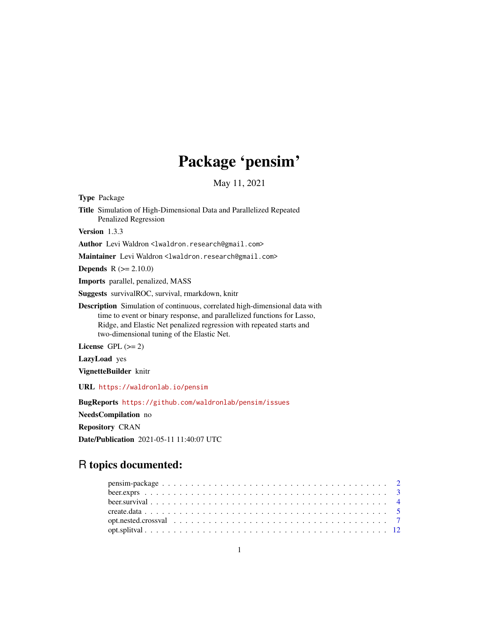## Package 'pensim'

May 11, 2021

Type Package

Title Simulation of High-Dimensional Data and Parallelized Repeated Penalized Regression

Version 1.3.3

Author Levi Waldron <lwaldron.research@gmail.com>

Maintainer Levi Waldron <lwaldron.research@gmail.com>

**Depends**  $R (= 2.10.0)$ 

Imports parallel, penalized, MASS

Suggests survivalROC, survival, rmarkdown, knitr

Description Simulation of continuous, correlated high-dimensional data with time to event or binary response, and parallelized functions for Lasso, Ridge, and Elastic Net penalized regression with repeated starts and two-dimensional tuning of the Elastic Net.

License GPL  $(>= 2)$ 

LazyLoad yes

VignetteBuilder knitr

URL <https://waldronlab.io/pensim>

BugReports <https://github.com/waldronlab/pensim/issues>

NeedsCompilation no

Repository CRAN

Date/Publication 2021-05-11 11:40:07 UTC

## R topics documented: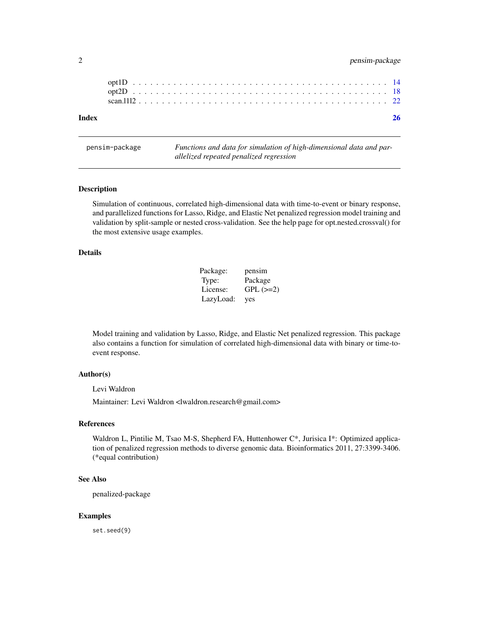## <span id="page-1-0"></span>2 pensim-package

## **Index** [26](#page-25-0)

pensim-package *Functions and data for simulation of high-dimensional data and parallelized repeated penalized regression*

## Description

Simulation of continuous, correlated high-dimensional data with time-to-event or binary response, and parallelized functions for Lasso, Ridge, and Elastic Net penalized regression model training and validation by split-sample or nested cross-validation. See the help page for opt.nested.crossval() for the most extensive usage examples.

#### Details

| Package:  | pensim          |
|-----------|-----------------|
| Type:     | Package         |
| License:  | $GPL$ ( $>=2$ ) |
| LazyLoad: | yes             |

Model training and validation by Lasso, Ridge, and Elastic Net penalized regression. This package also contains a function for simulation of correlated high-dimensional data with binary or time-toevent response.

## Author(s)

Levi Waldron

Maintainer: Levi Waldron <lwaldron.research@gmail.com>

#### References

Waldron L, Pintilie M, Tsao M-S, Shepherd FA, Huttenhower C\*, Jurisica I\*: Optimized application of penalized regression methods to diverse genomic data. Bioinformatics 2011, 27:3399-3406. (\*equal contribution)

#### See Also

penalized-package

#### Examples

set.seed(9)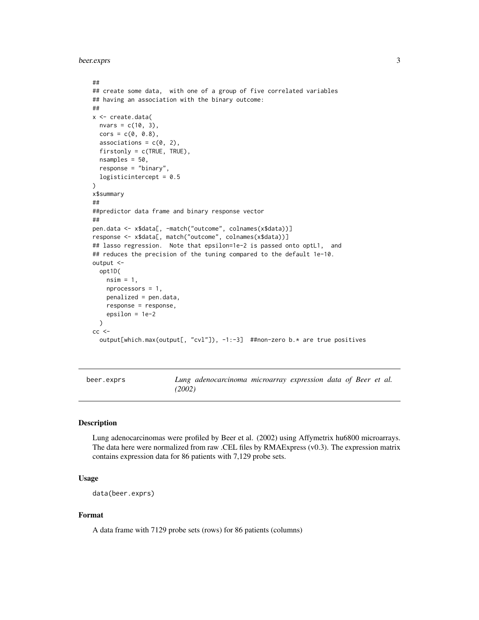<span id="page-2-0"></span>beer.exprs 3

```
##
## create some data, with one of a group of five correlated variables
## having an association with the binary outcome:
##
x <- create.data(
 nvars = c(10, 3),
 \text{cors} = c(\emptyset, \emptyset.8),associations = c(0, 2),
 firstonly = c(TRUE, TRUE),nsamples = 50,
 response = "binary",
 logisticintercept = 0.5)
x$summary
##
##predictor data frame and binary response vector
##
pen.data <- x$data[, -match("outcome", colnames(x$data))]
response <- x$data[, match("outcome", colnames(x$data))]
## lasso regression. Note that epsilon=1e-2 is passed onto optL1, and
## reduces the precision of the tuning compared to the default 1e-10.
output <-
 opt1D(
   nsim = 1,nprocessors = 1,
    penalized = pen.data,
    response = response,
    epsilon = 1e-2
 )
cc <output[which.max(output[, "cvl"]), -1:-3] ##non-zero b.* are true positives
```
beer.exprs *Lung adenocarcinoma microarray expression data of Beer et al. (2002)*

#### Description

Lung adenocarcinomas were profiled by Beer et al. (2002) using Affymetrix hu6800 microarrays. The data here were normalized from raw .CEL files by RMAExpress (v0.3). The expression matrix contains expression data for 86 patients with 7,129 probe sets.

## Usage

```
data(beer.exprs)
```
## Format

A data frame with 7129 probe sets (rows) for 86 patients (columns)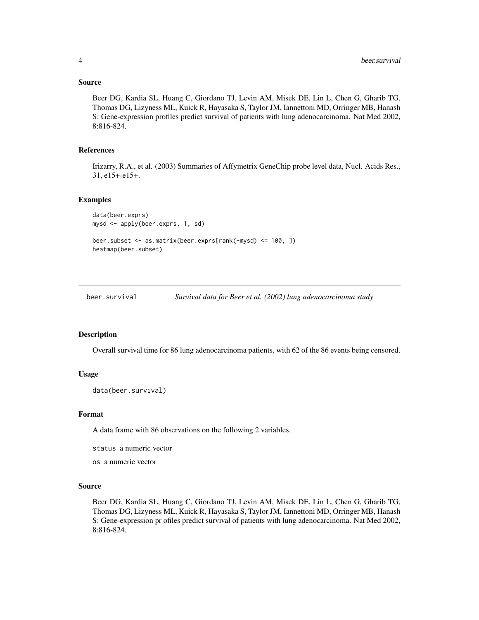#### <span id="page-3-0"></span>Source

Beer DG, Kardia SL, Huang C, Giordano TJ, Levin AM, Misek DE, Lin L, Chen G, Gharib TG, Thomas DG, Lizyness ML, Kuick R, Hayasaka S, Taylor JM, Iannettoni MD, Orringer MB, Hanash S: Gene-expression profiles predict survival of patients with lung adenocarcinoma. Nat Med 2002, 8:816-824.

## References

Irizarry, R.A., et al. (2003) Summaries of Affymetrix GeneChip probe level data, Nucl. Acids Res., 31, e15+-e15+.

#### Examples

```
data(beer.exprs)
mysd <- apply(beer.exprs, 1, sd)
beer.subset <- as.matrix(beer.exprs[rank(-mysd) <= 100, ])
heatmap(beer.subset)
```
beer.survival *Survival data for Beer et al. (2002) lung adenocarcinoma study*

#### **Description**

Overall survival time for 86 lung adenocarcinoma patients, with 62 of the 86 events being censored.

#### Usage

```
data(beer.survival)
```
#### Format

A data frame with 86 observations on the following 2 variables.

status a numeric vector

os a numeric vector

## Source

Beer DG, Kardia SL, Huang C, Giordano TJ, Levin AM, Misek DE, Lin L, Chen G, Gharib TG, Thomas DG, Lizyness ML, Kuick R, Hayasaka S, Taylor JM, Iannettoni MD, Orringer MB, Hanash S: Gene-expression pr ofiles predict survival of patients with lung adenocarcinoma. Nat Med 2002, 8:816-824.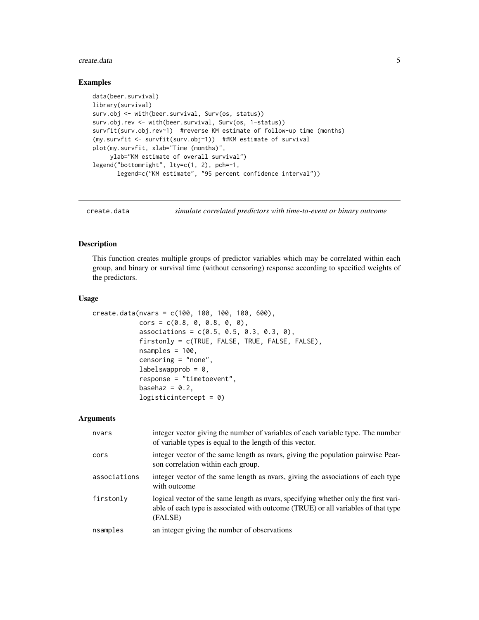#### <span id="page-4-0"></span>create.data 5

#### Examples

```
data(beer.survival)
library(survival)
surv.obj <- with(beer.survival, Surv(os, status))
surv.obj.rev <- with(beer.survival, Surv(os, 1-status))
survfit(surv.obj.rev~1) #reverse KM estimate of follow-up time (months)
(my.survfit <- survfit(surv.obj~1)) ##KM estimate of survival
plot(my.survfit, xlab="Time (months)",
     ylab="KM estimate of overall survival")
legend("bottomright", lty=c(1, 2), pch=-1,
       legend=c("KM estimate", "95 percent confidence interval"))
```
create.data *simulate correlated predictors with time-to-event or binary outcome*

#### Description

This function creates multiple groups of predictor variables which may be correlated within each group, and binary or survival time (without censoring) response according to specified weights of the predictors.

#### Usage

```
create.data(nvars = c(100, 100, 100, 100, 600),
            \text{cors} = c(0.8, 0, 0.8, 0, 0),associations = c(0.5, 0.5, 0.3, 0.3, 0),
            firstonly = c(TRUE, FALSE, TRUE, FALSE, FALSE),
            nsamples = 100,
            censoring = "none",
            labelswapprob = 0,
            response = "timetoevent",
            basehaz = 0.2,
            logisticintercept = 0)
```
#### Arguments

| nvars        | integer vector giving the number of variables of each variable type. The number<br>of variable types is equal to the length of this vector.                                         |
|--------------|-------------------------------------------------------------------------------------------------------------------------------------------------------------------------------------|
| cors         | integer vector of the same length as nears, giving the population pairwise Pear-<br>son correlation within each group.                                                              |
| associations | integer vector of the same length as nears, giving the associations of each type<br>with outcome                                                                                    |
| firstonly    | logical vector of the same length as nears, specifying whether only the first vari-<br>able of each type is associated with outcome (TRUE) or all variables of that type<br>(FALSE) |
| nsamples     | an integer giving the number of observations                                                                                                                                        |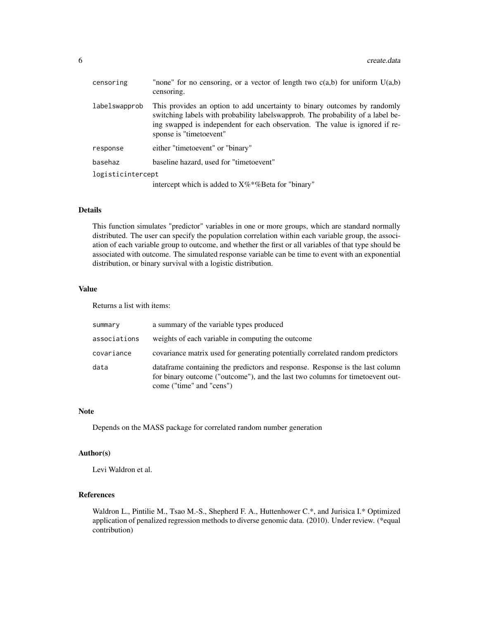| censoring         | "none" for no censoring, or a vector of length two $c(a,b)$ for uniform $U(a,b)$<br>censoring.                                                                                                                                                                           |
|-------------------|--------------------------------------------------------------------------------------------------------------------------------------------------------------------------------------------------------------------------------------------------------------------------|
| labelswapprob     | This provides an option to add uncertainty to binary outcomes by randomly<br>switching labels with probability labels wapprob. The probability of a label be-<br>ing swapped is independent for each observation. The value is ignored if re-<br>sponse is "timetoevent" |
| response          | either "timetoevent" or "binary"                                                                                                                                                                                                                                         |
| basehaz           | baseline hazard, used for "timetoevent"                                                                                                                                                                                                                                  |
| logisticintercept |                                                                                                                                                                                                                                                                          |
|                   | intercept which is added to X%*%Beta for "binary"                                                                                                                                                                                                                        |

#### Details

This function simulates "predictor" variables in one or more groups, which are standard normally distributed. The user can specify the population correlation within each variable group, the association of each variable group to outcome, and whether the first or all variables of that type should be associated with outcome. The simulated response variable can be time to event with an exponential distribution, or binary survival with a logistic distribution.

#### Value

Returns a list with items:

| summary      | a summary of the variable types produced                                                                                                                                                     |
|--------------|----------------------------------------------------------------------------------------------------------------------------------------------------------------------------------------------|
| associations | weights of each variable in computing the outcome                                                                                                                                            |
| covariance   | covariance matrix used for generating potentially correlated random predictors                                                                                                               |
| data         | data frame containing the predictors and response. Response is the last column<br>for binary outcome ("outcome"), and the last two columns for time to even out-<br>come ("time" and "cens") |

#### Note

Depends on the MASS package for correlated random number generation

## Author(s)

Levi Waldron et al.

## References

Waldron L., Pintilie M., Tsao M.-S., Shepherd F. A., Huttenhower C.\*, and Jurisica I.\* Optimized application of penalized regression methods to diverse genomic data. (2010). Under review. (\*equal contribution)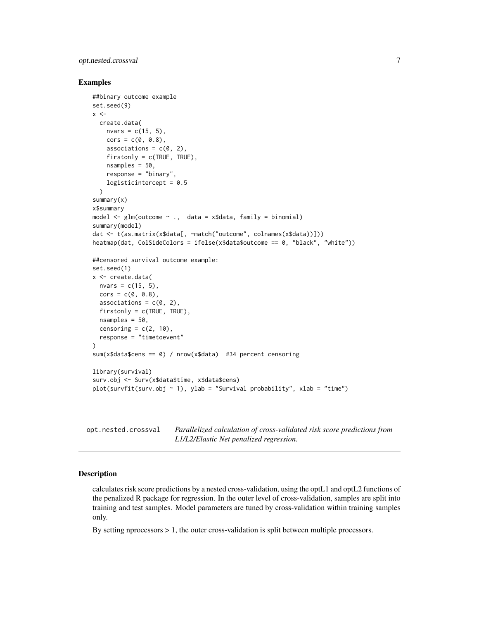## <span id="page-6-0"></span>opt.nested.crossval 7

#### Examples

```
##binary outcome example
set.seed(9)
x < -create.data(
    nvars = c(15, 5),
    \text{cors} = c(0, 0.8),associations = c(\theta, 2),
    firstonly = c(TRUE, TRUE),
    nsamples = 50,
    response = "binary",
    logisticintercept = 0.5
  \lambdasummary(x)
x$summary
model \leq glm(outcome \sim ., data = x$data, family = binomial)
summary(model)
dat <- t(as.matrix(x$data[, -match("outcome", colnames(x$data))]))
heatmap(dat, ColSideColors = ifelse(x$data$outcome == 0, "black", "white"))
##censored survival outcome example:
set.seed(1)
x <- create.data(
  nvars = c(15, 5),
  \text{cors} = c(\emptyset, \emptyset.8),associations = c(0, 2),
  firstonly = c(TRUE, TRUE),nsamples = 50,
  censoring = c(2, 10),
  response = "timetoevent"
)
sum(x$data$cens == 0) / nrow(x$data) #34 percent censoring
library(survival)
surv.obj <- Surv(x$data$time, x$data$cens)
plot(survfit(surv.obj \sim 1), ylab = "Survival probability", xlab = "time")
```
opt.nested.crossval *Parallelized calculation of cross-validated risk score predictions from L1/L2/Elastic Net penalized regression.*

#### Description

calculates risk score predictions by a nested cross-validation, using the optL1 and optL2 functions of the penalized R package for regression. In the outer level of cross-validation, samples are split into training and test samples. Model parameters are tuned by cross-validation within training samples only.

By setting nprocessors  $> 1$ , the outer cross-validation is split between multiple processors.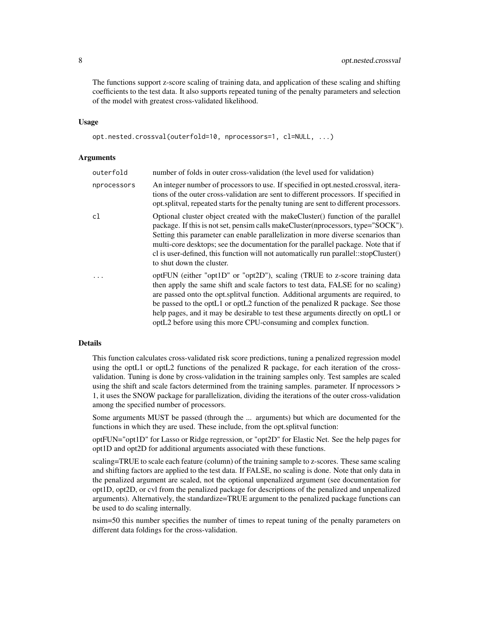The functions support z-score scaling of training data, and application of these scaling and shifting coefficients to the test data. It also supports repeated tuning of the penalty parameters and selection of the model with greatest cross-validated likelihood.

#### Usage

```
opt.nested.crossval(outerfold=10, nprocessors=1, cl=NULL, ...)
```
#### Arguments

| outerfold   | number of folds in outer cross-validation (the level used for validation)                                                                                                                                                                                                                                                                                                                                                                                                                    |
|-------------|----------------------------------------------------------------------------------------------------------------------------------------------------------------------------------------------------------------------------------------------------------------------------------------------------------------------------------------------------------------------------------------------------------------------------------------------------------------------------------------------|
| nprocessors | An integer number of processors to use. If specified in opt.nested.crossval, itera-<br>tions of the outer cross-validation are sent to different processors. If specified in<br>opt.splitval, repeated starts for the penalty tuning are sent to different processors.                                                                                                                                                                                                                       |
| c1          | Optional cluster object created with the make Cluster () function of the parallel<br>package. If this is not set, pensim calls makeCluster(nprocessors, type="SOCK").<br>Setting this parameter can enable parallelization in more diverse scenarios than<br>multi-core desktops; see the documentation for the parallel package. Note that if<br>cl is user-defined, this function will not automatically run parallel::stopCluster()<br>to shut down the cluster.                          |
| .           | optFUN (either "opt1D" or "opt2D"), scaling (TRUE to z-score training data<br>then apply the same shift and scale factors to test data, FALSE for no scaling)<br>are passed onto the opt. splitval function. Additional arguments are required, to<br>be passed to the optL1 or optL2 function of the penalized R package. See those<br>help pages, and it may be desirable to test these arguments directly on optL1 or<br>optL2 before using this more CPU-consuming and complex function. |

#### Details

This function calculates cross-validated risk score predictions, tuning a penalized regression model using the optL1 or optL2 functions of the penalized R package, for each iteration of the crossvalidation. Tuning is done by cross-validation in the training samples only. Test samples are scaled using the shift and scale factors determined from the training samples. parameter. If nprocessors > 1, it uses the SNOW package for parallelization, dividing the iterations of the outer cross-validation among the specified number of processors.

Some arguments MUST be passed (through the ... arguments) but which are documented for the functions in which they are used. These include, from the opt.splitval function:

optFUN="opt1D" for Lasso or Ridge regression, or "opt2D" for Elastic Net. See the help pages for opt1D and opt2D for additional arguments associated with these functions.

scaling=TRUE to scale each feature (column) of the training sample to z-scores. These same scaling and shifting factors are applied to the test data. If FALSE, no scaling is done. Note that only data in the penalized argument are scaled, not the optional unpenalized argument (see documentation for opt1D, opt2D, or cvl from the penalized package for descriptions of the penalized and unpenalized arguments). Alternatively, the standardize=TRUE argument to the penalized package functions can be used to do scaling internally.

nsim=50 this number specifies the number of times to repeat tuning of the penalty parameters on different data foldings for the cross-validation.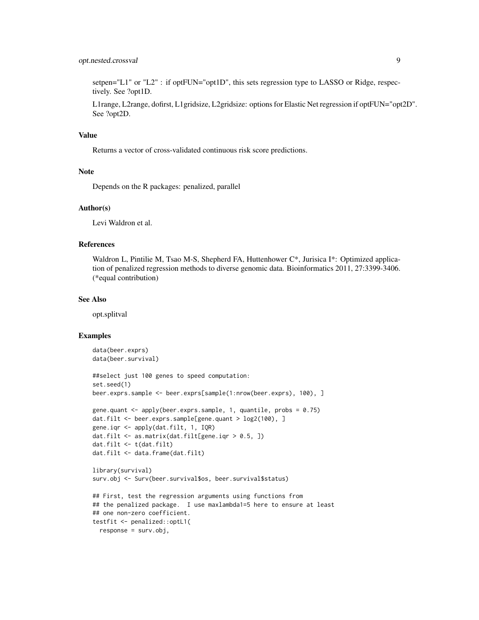## opt.nested.crossval 9

setpen="L1" or "L2" : if optFUN="opt1D", this sets regression type to LASSO or Ridge, respectively. See ?opt1D.

L1range, L2range, dofirst, L1gridsize, L2gridsize: options for Elastic Net regression if optFUN="opt2D". See ?opt2D.

#### Value

Returns a vector of cross-validated continuous risk score predictions.

## Note

Depends on the R packages: penalized, parallel

#### Author(s)

Levi Waldron et al.

#### References

Waldron L, Pintilie M, Tsao M-S, Shepherd FA, Huttenhower C\*, Jurisica I\*: Optimized application of penalized regression methods to diverse genomic data. Bioinformatics 2011, 27:3399-3406. (\*equal contribution)

#### See Also

opt.splitval

## Examples

```
data(beer.exprs)
data(beer.survival)
##select just 100 genes to speed computation:
set.seed(1)
beer.exprs.sample <- beer.exprs[sample(1:nrow(beer.exprs), 100), ]
gene.quant <- apply(beer.exprs.sample, 1, quantile, probs = 0.75)
dat.filt <- beer.exprs.sample[gene.quant > log2(100), ]
gene.iqr <- apply(dat.filt, 1, IQR)
dat.filt \leq as.matrix(dat.filt[gene.iqr > 0.5, ])
dat.filt <- t(dat.filt)
dat.filt <- data.frame(dat.filt)
library(survival)
surv.obj <- Surv(beer.survival$os, beer.survival$status)
## First, test the regression arguments using functions from
## the penalized package. I use maxlambda1=5 here to ensure at least
## one non-zero coefficient.
testfit <- penalized::optL1(
  response = surv.obj,
```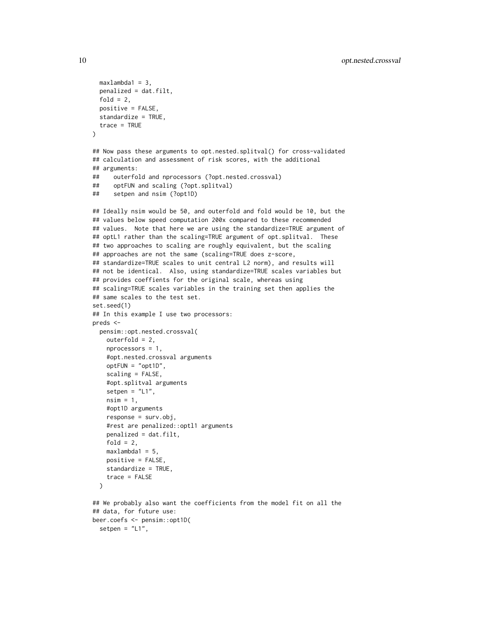```
maxlambda1 = 3,
 penalized = dat.filt,
 fold = 2,
 positive = FALSE,
 standardize = TRUE,
 trace = TRUE
)
## Now pass these arguments to opt.nested.splitval() for cross-validated
## calculation and assessment of risk scores, with the additional
## arguments:
## outerfold and nprocessors (?opt.nested.crossval)
## optFUN and scaling (?opt.splitval)
## setpen and nsim (?opt1D)
## Ideally nsim would be 50, and outerfold and fold would be 10, but the
## values below speed computation 200x compared to these recommended
## values. Note that here we are using the standardize=TRUE argument of
## optL1 rather than the scaling=TRUE argument of opt.splitval. These
## two approaches to scaling are roughly equivalent, but the scaling
## approaches are not the same (scaling=TRUE does z-score,
## standardize=TRUE scales to unit central L2 norm), and results will
## not be identical. Also, using standardize=TRUE scales variables but
## provides coeffients for the original scale, whereas using
## scaling=TRUE scales variables in the training set then applies the
## same scales to the test set.
set.seed(1)
## In this example I use two processors:
preds <-
 pensim::opt.nested.crossval(
   outerfold = 2,nprocessors = 1,
    #opt.nested.crossval arguments
    optFUN = "opt1D",
    scaling = FALSE,
    #opt.splitval arguments
    setpen = "L1",nsim = 1,
    #opt1D arguments
    response = surv.obj,
    #rest are penalized::optl1 arguments
    penalized = dat.filt,
    fold = 2,
   maxlambda1 = 5,
   positive = FALSE,
    standardize = TRUE,
    trace = FALSE
 )
## We probably also want the coefficients from the model fit on all the
## data, for future use:
beer.coefs <- pensim::opt1D(
```

```
setpen = "L1",
```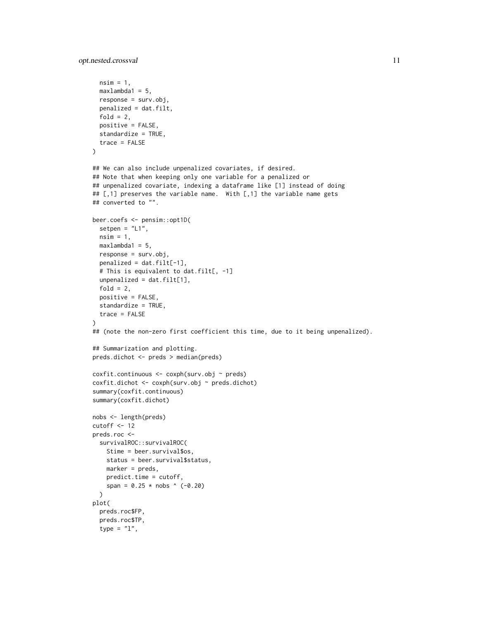opt.nested.crossval 11

```
nsim = 1,
  maxlambda1 = 5,
  response = surv.obj,
  penalized = dat.filt,
  fold = 2,
  positive = FALSE,
  standardize = TRUE,
  trace = FALSE
\lambda## We can also include unpenalized covariates, if desired.
## Note that when keeping only one variable for a penalized or
## unpenalized covariate, indexing a dataframe like [1] instead of doing
## [,1] preserves the variable name. With [,1] the variable name gets
## converted to "".
beer.coefs <- pensim::opt1D(
  setpen = "L1",nsim = 1,
  maxlambda1 = 5,
  response = surv.obj,
  penalized = dat.filt[-1],# This is equivalent to dat.filt[, -1]
  unpenalized = dat.filt[1],fold = 2,
  positive = FALSE,
  standardize = TRUE,
  trace = FALSE
)
## (note the non-zero first coefficient this time, due to it being unpenalized).
## Summarization and plotting.
preds.dichot <- preds > median(preds)
coxfit.continuous <- coxph(surv.obj ~ preds)
coxfit.dichot <- coxph(surv.obj ~ preds.dichot)
summary(coxfit.continuous)
summary(coxfit.dichot)
nobs <- length(preds)
cutoff <- 12
preds.roc <-
  survivalROC::survivalROC(
   Stime = beer.survival$os,
   status = beer.survival$status,
   marker = preds,
   predict.time = cutoff,
   span = 0.25 \times \text{nobs} (-0.20)\lambdaplot(
  preds.roc$FP,
  preds.roc$TP,
  type = "1",
```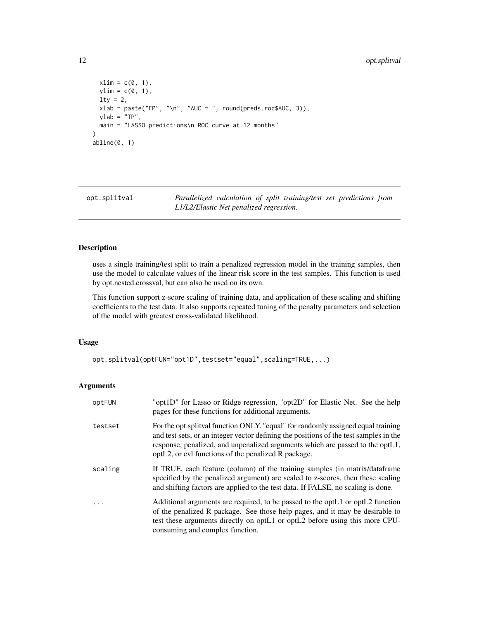```
xlim = c(0, 1),ylim = c(0, 1),1ty = 2,xlab = paste("FP", "\\n", "AUC = ", round(preds.roc$AUC, 3)),ylab = "TP",
 main = "LASSO predictions\n ROC curve at 12 months"
)
abline(0, 1)
```
opt.splitval *Parallelized calculation of split training/test set predictions from L1/L2/Elastic Net penalized regression.*

### Description

uses a single training/test split to train a penalized regression model in the training samples, then use the model to calculate values of the linear risk score in the test samples. This function is used by opt.nested.crossval, but can also be used on its own.

This function support z-score scaling of training data, and application of these scaling and shifting coefficients to the test data. It also supports repeated tuning of the penalty parameters and selection of the model with greatest cross-validated likelihood.

#### Usage

opt.splitval(optFUN="opt1D",testset="equal",scaling=TRUE,...)

## Arguments

| optFUN  | "opt1D" for Lasso or Ridge regression, "opt2D" for Elastic Net. See the help<br>pages for these functions for additional arguments.                                                                                                                                                                               |
|---------|-------------------------------------------------------------------------------------------------------------------------------------------------------------------------------------------------------------------------------------------------------------------------------------------------------------------|
| testset | For the opt. splitty function ONLY. "equal" for randomly assigned equal training<br>and test sets, or an integer vector defining the positions of the test samples in the<br>response, penalized, and unpenalized arguments which are passed to the optL1,<br>optL2, or cvl functions of the penalized R package. |
| scaling | If TRUE, each feature (column) of the training samples (in matrix/dataframe<br>specified by the penalized argument) are scaled to z-scores, then these scaling<br>and shifting factors are applied to the test data. If FALSE, no scaling is done.                                                                |
| .       | Additional arguments are required, to be passed to the opt L1 or opt L2 function<br>of the penalized R package. See those help pages, and it may be desirable to<br>test these arguments directly on optL1 or optL2 before using this more CPU-<br>consuming and complex function.                                |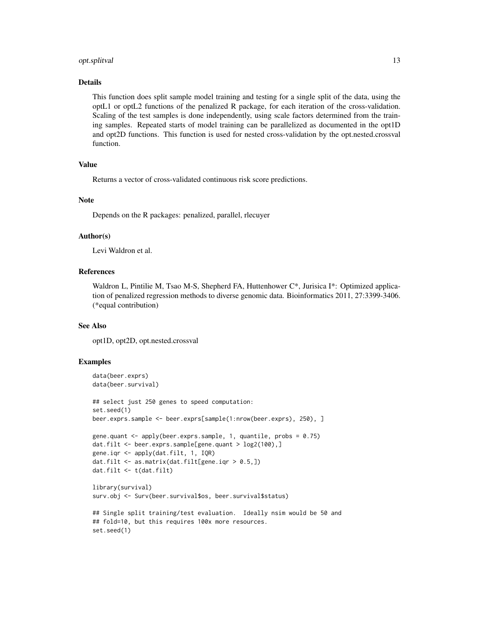#### opt.splitval 13

#### Details

This function does split sample model training and testing for a single split of the data, using the optL1 or optL2 functions of the penalized R package, for each iteration of the cross-validation. Scaling of the test samples is done independently, using scale factors determined from the training samples. Repeated starts of model training can be parallelized as documented in the opt1D and opt2D functions. This function is used for nested cross-validation by the opt.nested.crossval function.

#### Value

Returns a vector of cross-validated continuous risk score predictions.

#### Note

Depends on the R packages: penalized, parallel, rlecuyer

#### Author(s)

Levi Waldron et al.

## References

Waldron L, Pintilie M, Tsao M-S, Shepherd FA, Huttenhower C\*, Jurisica I\*: Optimized application of penalized regression methods to diverse genomic data. Bioinformatics 2011, 27:3399-3406. (\*equal contribution)

#### See Also

opt1D, opt2D, opt.nested.crossval

#### Examples

set.seed(1)

```
data(beer.exprs)
data(beer.survival)
## select just 250 genes to speed computation:
set.seed(1)
beer.exprs.sample <- beer.exprs[sample(1:nrow(beer.exprs), 250), ]
gene.quant <- apply(beer.exprs.sample, 1, quantile, probs = 0.75)
dat.filt <- beer.exprs.sample[gene.quant > log2(100),]
gene.iqr <- apply(dat.filt, 1, IQR)
dat.filt <- as.matrix(dat.filt[gene.iqr > 0.5,])
dat.filt <- t(dat.filt)
library(survival)
surv.obj <- Surv(beer.survival$os, beer.survival$status)
## Single split training/test evaluation. Ideally nsim would be 50 and
## fold=10, but this requires 100x more resources.
```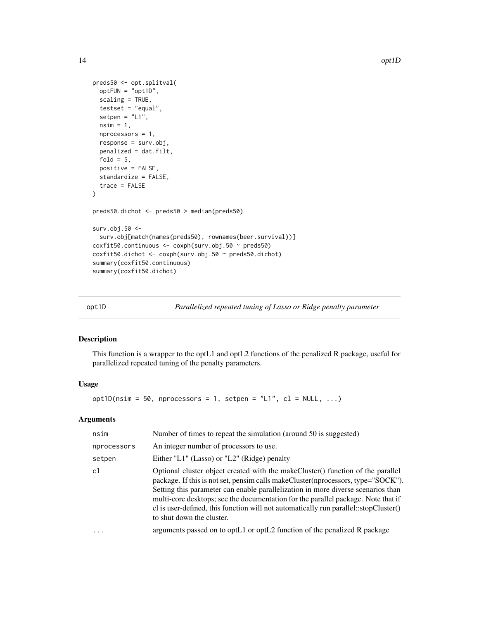```
preds50 <- opt.splitval(
  optFUN = "opt1D",
  scaling = TRUE,
  testset = "equal",
  setpen = "L1",nsim = 1,
  nprocessors = 1,
  response = surv.obj,
  penalized = dat.filt,
  fold = 5,
  positive = FALSE,
  standardize = FALSE,
  trace = FALSE
\mathcal{L}preds50.dichot <- preds50 > median(preds50)
surv.obj.50 <-
  surv.obj[match(names(preds50), rownames(beer.survival))]
coxfit50.continuous <- coxph(surv.obj.50 ~ preds50)
coxfit50.dichot <- coxph(surv.obj.50 ~ preds50.dichot)
summary(coxfit50.continuous)
summary(coxfit50.dichot)
```
opt1D *Parallelized repeated tuning of Lasso or Ridge penalty parameter*

#### Description

This function is a wrapper to the optL1 and optL2 functions of the penalized R package, useful for parallelized repeated tuning of the penalty parameters.

## Usage

opt1D(nsim = 50, nprocessors = 1, setpen = "L1", cl = NULL, ...)

## Arguments

| nsim        | Number of times to repeat the simulation (around 50 is suggested)                                                                                                                                                                                                                                                                                                                                                                                                   |
|-------------|---------------------------------------------------------------------------------------------------------------------------------------------------------------------------------------------------------------------------------------------------------------------------------------------------------------------------------------------------------------------------------------------------------------------------------------------------------------------|
| nprocessors | An integer number of processors to use.                                                                                                                                                                                                                                                                                                                                                                                                                             |
| setpen      | Either "L1" (Lasso) or "L2" (Ridge) penalty                                                                                                                                                                                                                                                                                                                                                                                                                         |
| c1          | Optional cluster object created with the make Cluster () function of the parallel<br>package. If this is not set, pensim calls makeCluster(nprocessors, type="SOCK").<br>Setting this parameter can enable parallelization in more diverse scenarios than<br>multi-core desktops; see the documentation for the parallel package. Note that if<br>cl is user-defined, this function will not automatically run parallel::stopCluster()<br>to shut down the cluster. |
| $\cdot$     | arguments passed on to optL1 or optL2 function of the penalized R package                                                                                                                                                                                                                                                                                                                                                                                           |
|             |                                                                                                                                                                                                                                                                                                                                                                                                                                                                     |

<span id="page-13-0"></span>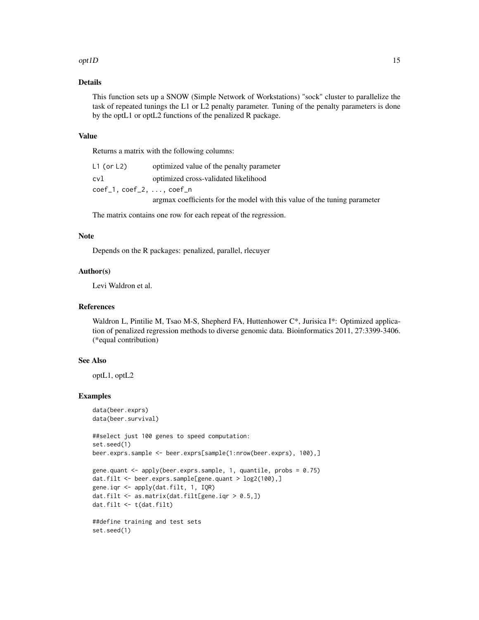#### $opt1D$  15

## Details

This function sets up a SNOW (Simple Network of Workstations) "sock" cluster to parallelize the task of repeated tunings the L1 or L2 penalty parameter. Tuning of the penalty parameters is done by the optL1 or optL2 functions of the penalized R package.

#### Value

Returns a matrix with the following columns:

| L1 (or L2) | optimized value of the penalty parameter                                  |
|------------|---------------------------------------------------------------------------|
| cvl        | optimized cross-validated likelihood                                      |
|            |                                                                           |
|            | argmax coefficients for the model with this value of the tuning parameter |

The matrix contains one row for each repeat of the regression.

#### Note

Depends on the R packages: penalized, parallel, rlecuyer

## Author(s)

Levi Waldron et al.

#### References

Waldron L, Pintilie M, Tsao M-S, Shepherd FA, Huttenhower C\*, Jurisica I\*: Optimized application of penalized regression methods to diverse genomic data. Bioinformatics 2011, 27:3399-3406. (\*equal contribution)

## See Also

optL1, optL2

#### Examples

```
data(beer.exprs)
data(beer.survival)
##select just 100 genes to speed computation:
set.seed(1)
beer.exprs.sample <- beer.exprs[sample(1:nrow(beer.exprs), 100),]
gene.quant <- apply(beer.exprs.sample, 1, quantile, probs = 0.75)
dat.filt <- beer.exprs.sample[gene.quant > log2(100),]
gene.iqr <- apply(dat.filt, 1, IQR)
dat.filt <- as.matrix(dat.filt[gene.iqr > 0.5,])
dat.filt <- t(dat.filt)
##define training and test sets
set.seed(1)
```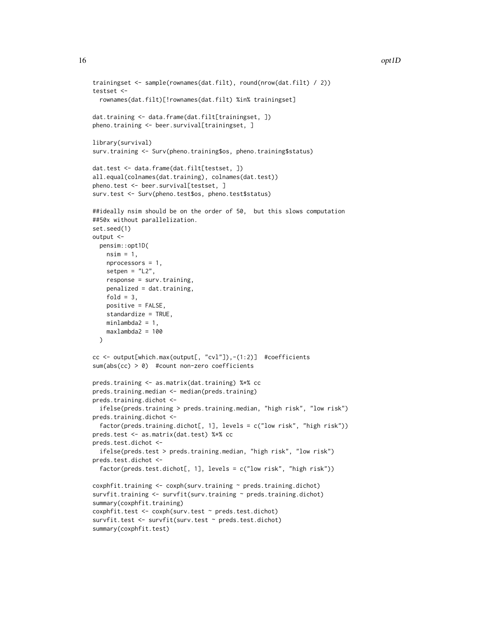```
trainingset <- sample(rownames(dat.filt), round(nrow(dat.filt) / 2))
testset <-
 rownames(dat.filt)[!rownames(dat.filt) %in% trainingset]
dat.training <- data.frame(dat.filt[trainingset, ])
pheno.training <- beer.survival[trainingset, ]
library(survival)
surv.training <- Surv(pheno.training$os, pheno.training$status)
dat.test <- data.frame(dat.filt[testset, ])
all.equal(colnames(dat.training), colnames(dat.test))
pheno.test <- beer.survival[testset, ]
surv.test <- Surv(pheno.test$os, pheno.test$status)
##ideally nsim should be on the order of 50, but this slows computation
##50x without parallelization.
set.seed(1)
output <-
 pensim::opt1D(
   nsim = 1,
   nprocessors = 1,
   setpen = "L2",
   response = surv.training,
   penalized = dat.training,
    fold = 3,
   positive = FALSE,
    standardize = TRUE,
   minlambda2 = 1,
   maxlambda2 = 100
 )
cc <- output[which.max(output[, "cvl"]),-(1:2)] #coefficients
sum(abs(cc) > 0) #count non-zero coefficients
preds.training <- as.matrix(dat.training) %*% cc
preds.training.median <- median(preds.training)
preds.training.dichot <-
  ifelse(preds.training > preds.training.median, "high risk", "low risk")
preds.training.dichot <-
  factor(preds.training.dichot[, 1], levels = c("low risk", "high risk"))
preds.test <- as.matrix(dat.test) %*% cc
preds.test.dichot <-
 ifelse(preds.test > preds.training.median, "high risk", "low risk")
preds.test.dichot <-
 factor(preds.test.dichot[, 1], levels = c("low risk", "high risk"))
coshfit.training < -\cosh(surv.training < -\text{preds.training.dichot})survfit.training <- survfit(surv.training ~ preds.training.dichot)
summary(coxphfit.training)
coxphfit.test <- coxph(surv.test ~ preds.test.dichot)
survfit.test <- survfit(surv.test ~ preds.test.dichot)
summary(coxphfit.test)
```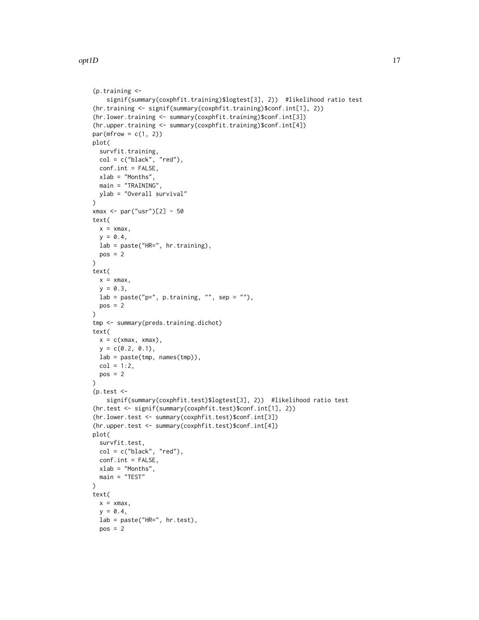opt ID and the contract of the contract of the contract of the contract of the contract of the contract of the contract of the contract of the contract of the contract of the contract of the contract of the contract of the

```
(p.training <-
    signif(summary(coxphfit.training)$logtest[3], 2)) #likelihood ratio test
(hr.training <- signif(summary(coxphfit.training)$conf.int[1], 2))
(hr.lower.training <- summary(coxphfit.training)$conf.int[3])
(hr.upper.training <- summary(coxphfit.training)$conf.int[4])
par(mfrow = c(1, 2))plot(
  survfit.training,
  col = c("black", "red"),
  conf.int = FALSE,
  xlab = "Months",
  main = "TRAINING",
 ylab = "Overall survival"
)
xmax <- par("usr")[2] - 50
text(
 x = xmax,
 y = 0.4,
 lab = paste("HR=", hr.training),
 pos = 2\lambdatext(
  x = xmax,
  y = 0.3,
  lab = paste("p=", p.training, "", sep = "");pos = 2)
tmp <- summary(preds.training.dichot)
text(
 x = c(xmax, xmax),
 y = c(0.2, 0.1),
 lab = paste(tmp, names(tmp)),
 col = 1:2,
  pos = 2\lambda(p.test <-
    signif(summary(coxphfit.test)$logtest[3], 2)) #likelihood ratio test
(hr.test <- signif(summary(coxphfit.test)$conf.int[1], 2))
(hr.lower.test <- summary(coxphfit.test)$conf.int[3])
(hr.upper.test <- summary(coxphfit.test)$conf.int[4])
plot(
  survfit.test,
  col = c("black", "red"),
  conf.int = FALSE,
  xlab = "Months",
  main = "TEST"
\lambdatext(
  x = xmax,
  y = 0.4,
  lab = paste("HR=", hr.test),
  pos = 2
```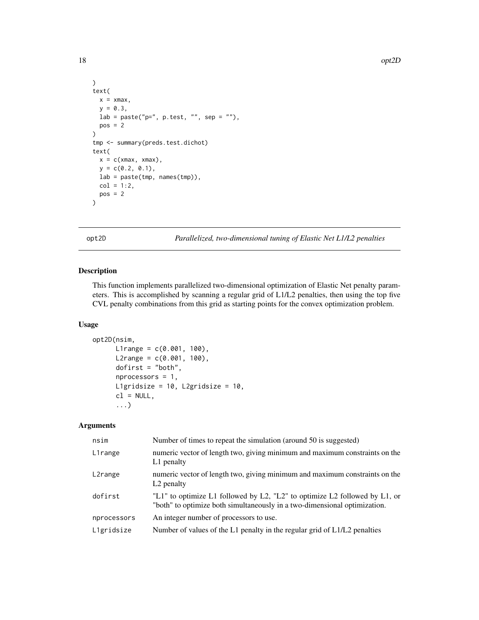```
\mathcal{L}text(
  x = xmax,y = 0.3,
  lab = paste("p=", p.test, "", sep = "");pos = 2\mathcal{L}tmp <- summary(preds.test.dichot)
text(
  x = c(xmax, xmax),
  y = c(0.2, 0.1),lab = paste(tmp, names(tmp)),
  col = 1:2,pos = 2\mathcal{L}
```
opt2D *Parallelized, two-dimensional tuning of Elastic Net L1/L2 penalties*

## Description

This function implements parallelized two-dimensional optimization of Elastic Net penalty parameters. This is accomplished by scanning a regular grid of L1/L2 penalties, then using the top five CVL penalty combinations from this grid as starting points for the convex optimization problem.

#### Usage

```
opt2D(nsim,
      L1range = c(0.001, 100),
      L2range = c(0.001, 100),
      dofirst = "both",
      nprocessors = 1,
      L1gridsize = 10, L2gridsize = 10,
      cl = NULL,...)
```
## Arguments

| nsim        | Number of times to repeat the simulation (around 50 is suggested)                                                                                       |
|-------------|---------------------------------------------------------------------------------------------------------------------------------------------------------|
| L1range     | numeric vector of length two, giving minimum and maximum constraints on the<br>L1 penalty                                                               |
| L2range     | numeric vector of length two, giving minimum and maximum constraints on the<br>L <sub>2</sub> penalty                                                   |
| dofirst     | "L1" to optimize L1 followed by L2, "L2" to optimize L2 followed by L1, or<br>"both" to optimize both simultaneously in a two-dimensional optimization. |
| nprocessors | An integer number of processors to use.                                                                                                                 |
| L1gridsize  | Number of values of the L1 penalty in the regular grid of L1/L2 penalties                                                                               |

<span id="page-17-0"></span>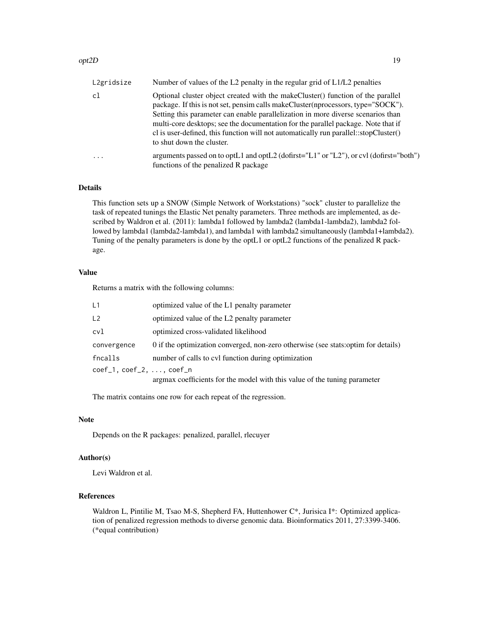#### opt2D 19

| L2gridsize | Number of values of the L2 penalty in the regular grid of L1/L2 penalties                                                                                                                                                                                                                                                                                                                                                                                         |
|------------|-------------------------------------------------------------------------------------------------------------------------------------------------------------------------------------------------------------------------------------------------------------------------------------------------------------------------------------------------------------------------------------------------------------------------------------------------------------------|
| cl         | Optional cluster object created with the makeCluster() function of the parallel<br>package. If this is not set, pensim calls makeCluster(nprocessors, type="SOCK").<br>Setting this parameter can enable parallelization in more diverse scenarios than<br>multi-core desktops; see the documentation for the parallel package. Note that if<br>cl is user-defined, this function will not automatically run parallel::stopCluster()<br>to shut down the cluster. |
| $\cdots$   | arguments passed on to optL1 and optL2 (dofirst="L1" or "L2"), or cvl (dofirst="both")<br>functions of the penalized R package                                                                                                                                                                                                                                                                                                                                    |

## Details

This function sets up a SNOW (Simple Network of Workstations) "sock" cluster to parallelize the task of repeated tunings the Elastic Net penalty parameters. Three methods are implemented, as described by Waldron et al. (2011): lambda1 followed by lambda2 (lambda1-lambda2), lambda2 followed by lambda1 (lambda2-lambda1), and lambda1 with lambda2 simultaneously (lambda1+lambda2). Tuning of the penalty parameters is done by the optL1 or optL2 functions of the penalized R package.

#### Value

Returns a matrix with the following columns:

| L1                       | optimized value of the L1 penalty parameter                                         |  |
|--------------------------|-------------------------------------------------------------------------------------|--|
| L2                       | optimized value of the L2 penalty parameter                                         |  |
| cvl                      | optimized cross-validated likelihood                                                |  |
| convergence              | 0 if the optimization converged, non-zero otherwise (see stats: optime for details) |  |
| fncalls                  | number of calls to cvl function during optimization                                 |  |
| coef_1, coef_2, , coef_n |                                                                                     |  |
|                          | argmax coefficients for the model with this value of the tuning parameter           |  |

The matrix contains one row for each repeat of the regression.

#### Note

Depends on the R packages: penalized, parallel, rlecuyer

#### Author(s)

Levi Waldron et al.

## References

Waldron L, Pintilie M, Tsao M-S, Shepherd FA, Huttenhower C\*, Jurisica I\*: Optimized application of penalized regression methods to diverse genomic data. Bioinformatics 2011, 27:3399-3406. (\*equal contribution)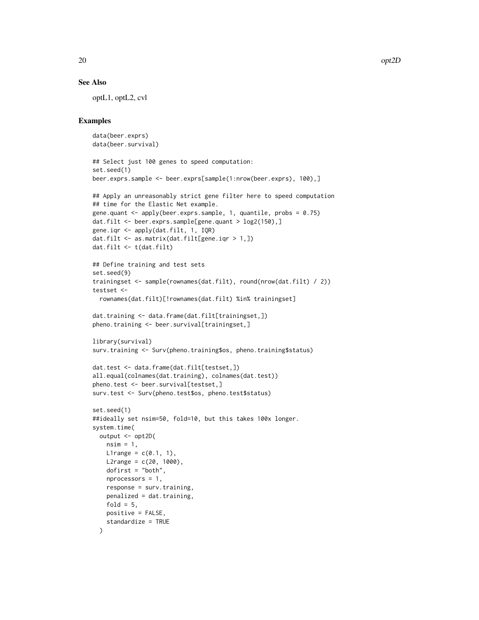## See Also

optL1, optL2, cvl

## Examples

```
data(beer.exprs)
data(beer.survival)
```

```
## Select just 100 genes to speed computation:
set.seed(1)
beer.exprs.sample <- beer.exprs[sample(1:nrow(beer.exprs), 100),]
## Apply an unreasonably strict gene filter here to speed computation
## time for the Elastic Net example.
gene.quant \leq apply(beer.exprs.sample, 1, quantile, probs = 0.75)
dat.filt <- beer.exprs.sample[gene.quant > log2(150),]
gene.iqr <- apply(dat.filt, 1, IQR)
dat.filt <- as.matrix(dat.filt[gene.iqr > 1,])
dat.filt <- t(dat.filt)
```

```
## Define training and test sets
set.seed(9)
trainingset <- sample(rownames(dat.filt), round(nrow(dat.filt) / 2))
testset <-
```

```
rownames(dat.filt)[!rownames(dat.filt) %in% trainingset]
```

```
dat.training <- data.frame(dat.filt[trainingset,])
pheno.training <- beer.survival[trainingset,]
```

```
library(survival)
surv.training <- Surv(pheno.training$os, pheno.training$status)
```

```
dat.test <- data.frame(dat.filt[testset,])
all.equal(colnames(dat.training), colnames(dat.test))
pheno.test <- beer.survival[testset,]
surv.test <- Surv(pheno.test$os, pheno.test$status)
```

```
set.seed(1)
##ideally set nsim=50, fold=10, but this takes 100x longer.
system.time(
 output <- opt2D(
   nsim = 1,
   L1range = c(0.1, 1),
   L2range = c(20, 1000),
   dofirst = "both",nprocessors = 1,
   response = surv.training,
   penalized = dat.training,
   fold = 5,
   positive = FALSE,
   standardize = TRUE
```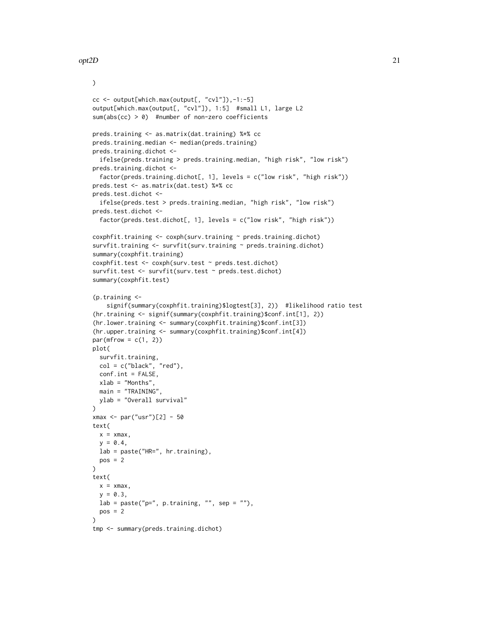)

```
cc <- output[which.max(output[, "cvl"]),-1:-5]
output[which.max(output[, "cvl"]), 1:5] #small L1, large L2
sum(abs(cc) > 0) #number of non-zero coefficients
preds.training <- as.matrix(dat.training) %*% cc
preds.training.median <- median(preds.training)
preds.training.dichot <-
  ifelse(preds.training > preds.training.median, "high risk", "low risk")
preds.training.dichot <-
  factor(preds.training.dichot[, 1], levels = c("low risk", "high risk"))
preds.test <- as.matrix(dat.test) %*% cc
preds.test.dichot <-
  ifelse(preds.test > preds.training.median, "high risk", "low risk")
preds.test.dichot <-
  factor(preds.test.dichot[, 1], levels = c("low risk", "high risk"))
coxphfit.training <- coxph(surv.training ~ preds.training.dichot)
survfit.training <- survfit(surv.training ~ preds.training.dichot)
summary(coxphfit.training)
coxphfit.test <- coxph(surv.test ~ preds.test.dichot)
survfit.test <- survfit(surv.test ~ preds.test.dichot)
summary(coxphfit.test)
(p.training <-
    signif(summary(coxphfit.training)$logtest[3], 2)) #likelihood ratio test
(hr.training <- signif(summary(coxphfit.training)$conf.int[1], 2))
(hr.lower.training <- summary(coxphfit.training)$conf.int[3])
(hr.upper.training <- summary(coxphfit.training)$conf.int[4])
par(mfrow = c(1, 2))plot(
  survfit.training,
  col = c("black", "red"),conf.int = FALSE,
  xlab = "Months",
  main = "TRAINING",
  ylab = "Overall survival"
)
xmax <- par("usr")[2] - 50
text(
  x = xmax,y = 0.4,
  lab = paste("HR=", hr.training),
  pos = 2\lambdatext(
  x = xmax,
  y = 0.3,
 lab = paste("p=", p.training, "", sep = "");pos = 2\lambdatmp <- summary(preds.training.dichot)
```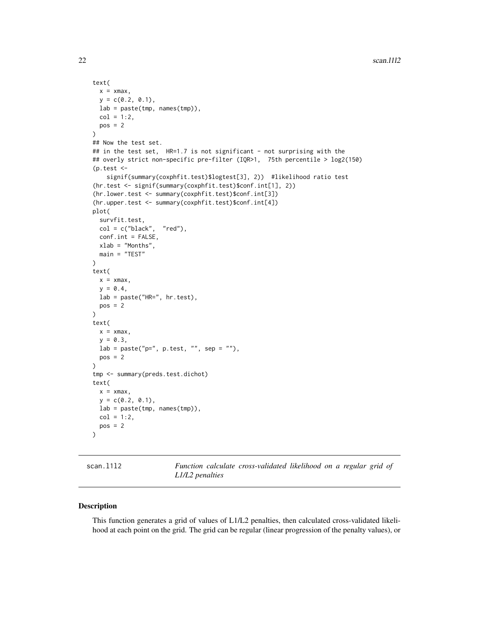```
text(
  x = xmax,
  y = c(0.2, 0.1),lab = paste(tmp, names(tmp)),col = 1:2,pos = 2)
## Now the test set.
## in the test set, HR=1.7 is not significant - not surprising with the
## overly strict non-specific pre-filter (IQR>1, 75th percentile > log2(150)
(p.test <-
    signif(summary(coxphfit.test)$logtest[3], 2)) #likelihood ratio test
(hr.test <- signif(summary(coxphfit.test)$conf.int[1], 2))
(hr.lower.test <- summary(coxphfit.test)$conf.int[3])
(hr.upper.test <- summary(coxphfit.test)$conf.int[4])
plot(
  survfit.test,
  col = c("black", "red"),
  conf.int = FALSE,
  xlab = "Months",
  main = "TEST"
\lambdatext(
  x = xmax,
  y = 0.4,
  lab = paste("HR=", hr.test),
  pos = 2)
text(
  x = xmax,
  y = 0.3,
  lab = paste("p=", p.test, "", sep = "");pos = 2)
tmp <- summary(preds.test.dichot)
text(
  x = xmax,
  y = c(0.2, 0.1),lab = paste(tmp, names(tmp)),
  col = 1:2,
  pos = 2)
```
scan.l1l2 *Function calculate cross-validated likelihood on a regular grid of L1/L2 penalties*

## Description

This function generates a grid of values of L1/L2 penalties, then calculated cross-validated likelihood at each point on the grid. The grid can be regular (linear progression of the penalty values), or

<span id="page-21-0"></span>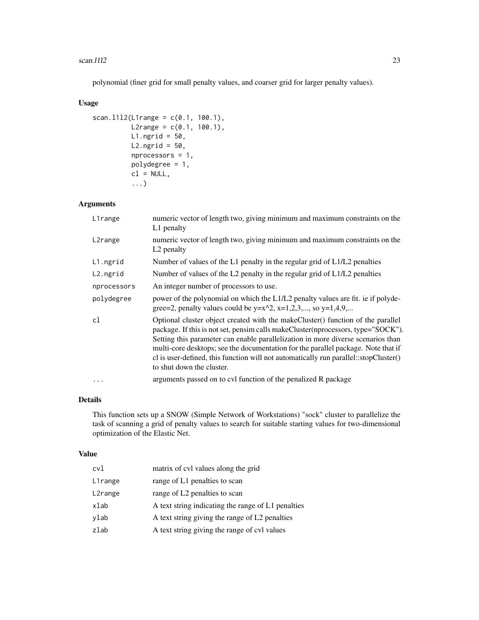#### scan.l1l2 23

polynomial (finer grid for small penalty values, and coarser grid for larger penalty values).

## Usage

```
scan.1112(L1range = c(0.1, 100.1),
         L2range = c(0.1, 100.1),
         L1.ngrid = 50,
         L2.ngrid = 50,
         nprocessors = 1,
         polydegree = 1,
         cl = NULL,...)
```
## Arguments

| L1range     | numeric vector of length two, giving minimum and maximum constraints on the<br>L1 penalty                                                                                                                                                                                                                                                                                                                                                                         |  |
|-------------|-------------------------------------------------------------------------------------------------------------------------------------------------------------------------------------------------------------------------------------------------------------------------------------------------------------------------------------------------------------------------------------------------------------------------------------------------------------------|--|
| L2range     | numeric vector of length two, giving minimum and maximum constraints on the<br>L <sub>2</sub> penalty                                                                                                                                                                                                                                                                                                                                                             |  |
| L1.ngrid    | Number of values of the L1 penalty in the regular grid of L1/L2 penalties                                                                                                                                                                                                                                                                                                                                                                                         |  |
| L2.ngrid    | Number of values of the L2 penalty in the regular grid of L1/L2 penalties                                                                                                                                                                                                                                                                                                                                                                                         |  |
| nprocessors | An integer number of processors to use.                                                                                                                                                                                                                                                                                                                                                                                                                           |  |
| polydegree  | power of the polynomial on which the L1/L2 penalty values are fit. ie if polyde-<br>gree=2, penalty values could be $y=x^2$ , $x=1,2,3,$ , so $y=1,4,9,$                                                                                                                                                                                                                                                                                                          |  |
| cl          | Optional cluster object created with the makeCluster() function of the parallel<br>package. If this is not set, pensim calls makeCluster(nprocessors, type="SOCK").<br>Setting this parameter can enable parallelization in more diverse scenarios than<br>multi-core desktops; see the documentation for the parallel package. Note that if<br>cl is user-defined, this function will not automatically run parallel::stopCluster()<br>to shut down the cluster. |  |
| $\cdots$    | arguments passed on to cvl function of the penalized R package                                                                                                                                                                                                                                                                                                                                                                                                    |  |

## Details

This function sets up a SNOW (Simple Network of Workstations) "sock" cluster to parallelize the task of scanning a grid of penalty values to search for suitable starting values for two-dimensional optimization of the Elastic Net.

#### Value

| cvl     | matrix of cvl values along the grid                |
|---------|----------------------------------------------------|
| L1range | range of L1 penalties to scan                      |
| L2range | range of L2 penalties to scan                      |
| xlab    | A text string indicating the range of L1 penalties |
| ylab    | A text string giving the range of L2 penalties     |
| zlab    | A text string giving the range of cvl values       |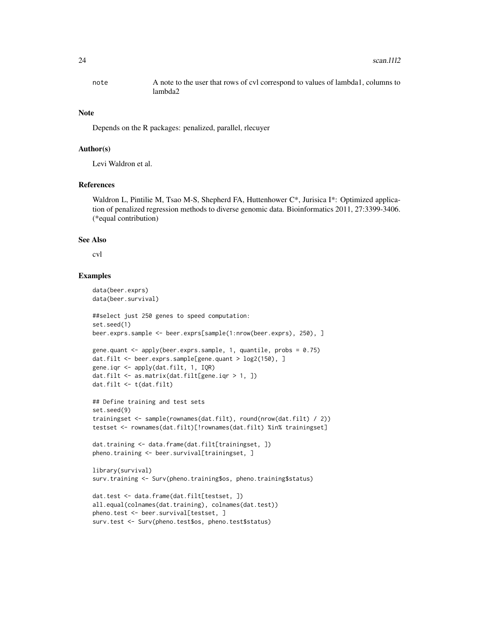note A note to the user that rows of cvl correspond to values of lambda1, columns to lambda2

#### Note

Depends on the R packages: penalized, parallel, rlecuyer

#### Author(s)

Levi Waldron et al.

## References

Waldron L, Pintilie M, Tsao M-S, Shepherd FA, Huttenhower C\*, Jurisica I\*: Optimized application of penalized regression methods to diverse genomic data. Bioinformatics 2011, 27:3399-3406. (\*equal contribution)

#### See Also

cvl

## Examples

```
data(beer.exprs)
data(beer.survival)
##select just 250 genes to speed computation:
set.seed(1)
beer.exprs.sample <- beer.exprs[sample(1:nrow(beer.exprs), 250), ]
gene.quant <- apply(beer.exprs.sample, 1, quantile, probs = 0.75)
dat.filt <- beer.exprs.sample[gene.quant > log2(150), ]
gene.iqr <- apply(dat.filt, 1, IQR)
dat.filt <- as.matrix(dat.filt[gene.iqr > 1, ])
dat.filt <- t(dat.filt)
## Define training and test sets
set.seed(9)
trainingset <- sample(rownames(dat.filt), round(nrow(dat.filt) / 2))
testset <- rownames(dat.filt)[!rownames(dat.filt) %in% trainingset]
dat.training <- data.frame(dat.filt[trainingset, ])
pheno.training <- beer.survival[trainingset, ]
library(survival)
surv.training <- Surv(pheno.training$os, pheno.training$status)
dat.test <- data.frame(dat.filt[testset, ])
all.equal(colnames(dat.training), colnames(dat.test))
pheno.test <- beer.survival[testset, ]
surv.test <- Surv(pheno.test$os, pheno.test$status)
```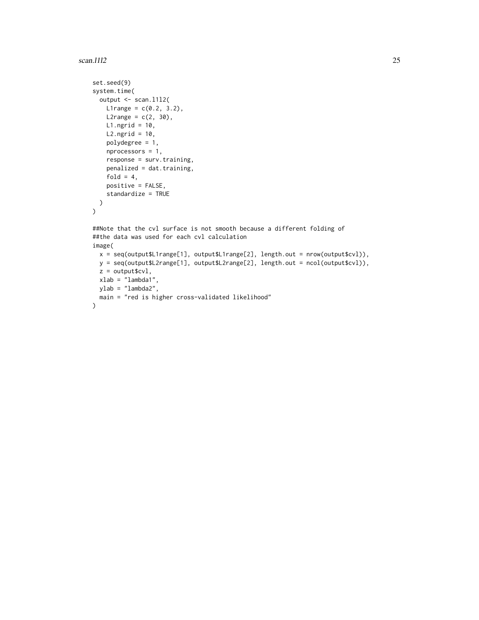#### scan.l1l2 25

```
set.seed(9)
system.time(
 output <- scan.l1l2(
   L1range = c(0.2, 3.2),
   L2range = c(2, 30),
   L1.ngrid = 10,
   L2.ngrid = 10,
   polydegree = 1,
   nprocessors = 1,
   response = surv.training,
   penalized = dat.training,
   fold = 4,
   positive = FALSE,
   standardize = TRUE
 )
)
##Note that the cvl surface is not smooth because a different folding of
##the data was used for each cvl calculation
image(
 x = seq(output$L1range[1], output$L1range[2], length.out = nrow(output$cvl)),
 y = seq(output$L2range[1], output$L2range[2], length.out = ncol(output$cvl)),
 z = output$cvl,
  xlab = "lambda1",
 ylab = "lambda2",
  main = "red is higher cross-validated likelihood"
\mathcal{L}
```